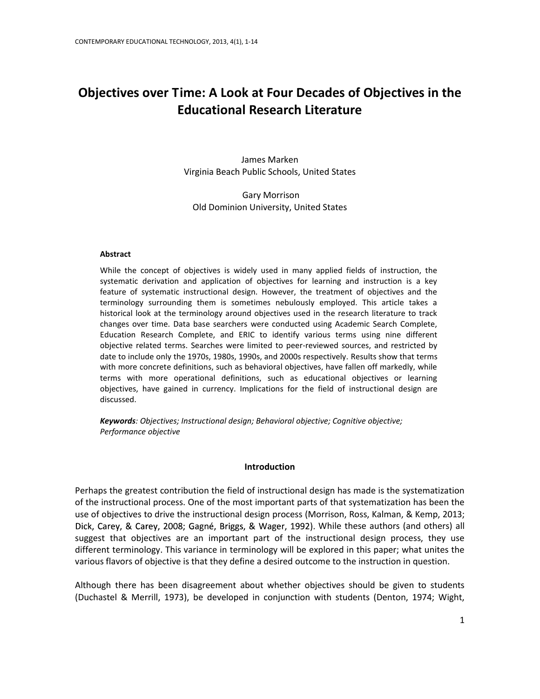# **Objectives over Time: A Look at Four Decades of Objectives in the Educational Research Literature**

James Marken Virginia Beach Public Schools, United States

Gary Morrison Old Dominion University, United States

#### **Abstract**

While the concept of objectives is widely used in many applied fields of instruction, the systematic derivation and application of objectives for learning and instruction is a key feature of systematic instructional design. However, the treatment of objectives and the terminology surrounding them is sometimes nebulously employed. This article takes a historical look at the terminology around objectives used in the research literature to track changes over time. Data base searchers were conducted using Academic Search Complete, Education Research Complete, and ERIC to identify various terms using nine different objective related terms. Searches were limited to peer-reviewed sources, and restricted by date to include only the 1970s, 1980s, 1990s, and 2000s respectively. Results show that terms with more concrete definitions, such as behavioral objectives, have fallen off markedly, while terms with more operational definitions, such as educational objectives or learning objectives, have gained in currency. Implications for the field of instructional design are discussed.

*Keywords: Objectives; Instructional design; Behavioral objective; Cognitive objective; Performance objective*

# **Introduction**

Perhaps the greatest contribution the field of instructional design has made is the systematization of the instructional process. One of the most important parts of that systematization has been the use of objectives to drive the instructional design process (Morrison, Ross, Kalman, & Kemp, 2013; Dick, Carey, & Carey, 2008; Gagné, Briggs, & Wager, 1992). While these authors (and others) all suggest that objectives are an important part of the instructional design process, they use different terminology. This variance in terminology will be explored in this paper; what unites the various flavors of objective is that they define a desired outcome to the instruction in question.

Although there has been disagreement about whether objectives should be given to students (Duchastel & Merrill, 1973), be developed in conjunction with students (Denton, 1974; Wight,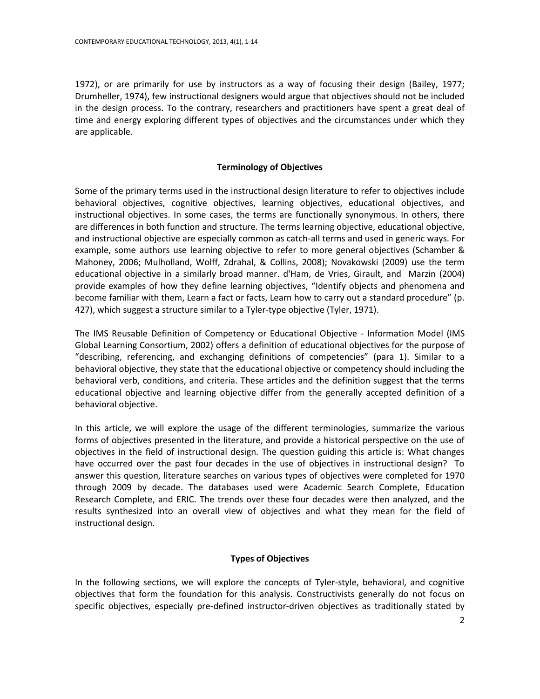1972), or are primarily for use by instructors as a way of focusing their design (Bailey, 1977; Drumheller, 1974), few instructional designers would argue that objectives should not be included in the design process. To the contrary, researchers and practitioners have spent a great deal of time and energy exploring different types of objectives and the circumstances under which they are applicable.

# **Terminology of Objectives**

Some of the primary terms used in the instructional design literature to refer to objectives include behavioral objectives, cognitive objectives, learning objectives, educational objectives, and instructional objectives. In some cases, the terms are functionally synonymous. In others, there are differences in both function and structure. The terms learning objective, educational objective, and instructional objective are especially common as catch-all terms and used in generic ways. For example, some authors use learning objective to refer to more general objectives (Schamber & Mahoney, 2006; Mulholland, Wolff, Zdrahal, & Collins, 2008); Novakowski (2009) use the term educational objective in a similarly broad manner. d'Ham, de Vries, Girault, and Marzin (2004) provide examples of how they define learning objectives, "Identify objects and phenomena and become familiar with them, Learn a fact or facts, Learn how to carry out a standard procedure" (p. 427), which suggest a structure similar to a Tyler-type objective (Tyler, 1971).

The IMS Reusable Definition of Competency or Educational Objective - Information Model (IMS Global Learning Consortium, 2002) offers a definition of educational objectives for the purpose of "describing, referencing, and exchanging definitions of competencies" (para 1). Similar to a behavioral objective, they state that the educational objective or competency should including the behavioral verb, conditions, and criteria. These articles and the definition suggest that the terms educational objective and learning objective differ from the generally accepted definition of a behavioral objective.

In this article, we will explore the usage of the different terminologies, summarize the various forms of objectives presented in the literature, and provide a historical perspective on the use of objectives in the field of instructional design. The question guiding this article is: What changes have occurred over the past four decades in the use of objectives in instructional design? To answer this question, literature searches on various types of objectives were completed for 1970 through 2009 by decade. The databases used were Academic Search Complete, Education Research Complete, and ERIC. The trends over these four decades were then analyzed, and the results synthesized into an overall view of objectives and what they mean for the field of instructional design.

# **Types of Objectives**

In the following sections, we will explore the concepts of Tyler-style, behavioral, and cognitive objectives that form the foundation for this analysis. Constructivists generally do not focus on specific objectives, especially pre-defined instructor-driven objectives as traditionally stated by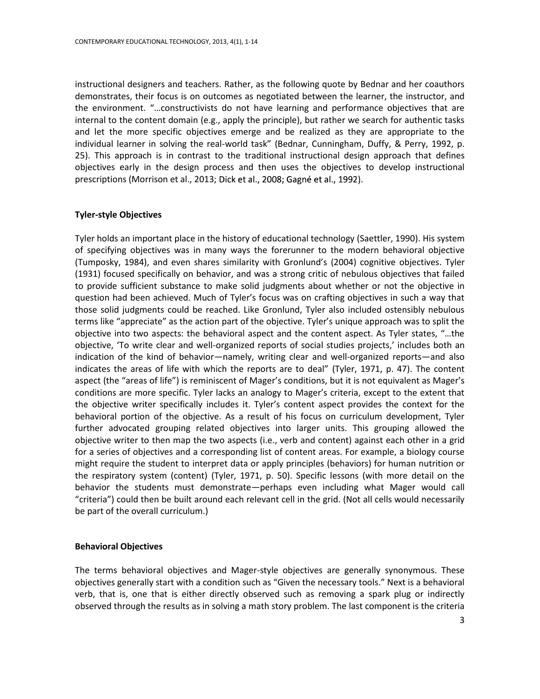instructional designers and teachers. Rather, as the following quote by Bednar and her coauthors demonstrates, their focus is on outcomes as negotiated between the learner, the instructor, and the environment. "…constructivists do not have learning and performance objectives that are internal to the content domain (e.g., apply the principle), but rather we search for authentic tasks and let the more specific objectives emerge and be realized as they are appropriate to the individual learner in solving the real-world task" (Bednar, Cunningham, Duffy, & Perry, 1992, p. 25). This approach is in contrast to the traditional instructional design approach that defines objectives early in the design process and then uses the objectives to develop instructional prescriptions (Morrison et al., 2013; Dick et al., 2008; Gagné et al., 1992).

## **Tyler-style Objectives**

Tyler holds an important place in the history of educational technology (Saettler, 1990). His system of specifying objectives was in many ways the forerunner to the modern behavioral objective (Tumposky, 1984), and even shares similarity with Gronlund's (2004) cognitive objectives. Tyler (1931) focused specifically on behavior, and was a strong critic of nebulous objectives that failed to provide sufficient substance to make solid judgments about whether or not the objective in question had been achieved. Much of Tyler's focus was on crafting objectives in such a way that those solid judgments could be reached. Like Gronlund, Tyler also included ostensibly nebulous terms like "appreciate" as the action part of the objective. Tyler's unique approach was to split the objective into two aspects: the behavioral aspect and the content aspect. As Tyler states, "…the objective, 'To write clear and well-organized reports of social studies projects,' includes both an indication of the kind of behavior—namely, writing clear and well-organized reports—and also indicates the areas of life with which the reports are to deal" (Tyler, 1971, p. 47). The content aspect (the "areas of life") is reminiscent of Mager's conditions, but it is not equivalent as Mager's conditions are more specific. Tyler lacks an analogy to Mager's criteria, except to the extent that the objective writer specifically includes it. Tyler's content aspect provides the context for the behavioral portion of the objective. As a result of his focus on curriculum development, Tyler further advocated grouping related objectives into larger units. This grouping allowed the objective writer to then map the two aspects (i.e., verb and content) against each other in a grid for a series of objectives and a corresponding list of content areas. For example, a biology course might require the student to interpret data or apply principles (behaviors) for human nutrition or the respiratory system (content) (Tyler, 1971, p. 50). Specific lessons (with more detail on the behavior the students must demonstrate—perhaps even including what Mager would call "criteria") could then be built around each relevant cell in the grid. (Not all cells would necessarily be part of the overall curriculum.)

#### **Behavioral Objectives**

The terms behavioral objectives and Mager-style objectives are generally synonymous. These objectives generally start with a condition such as "Given the necessary tools." Next is a behavioral verb, that is, one that is either directly observed such as removing a spark plug or indirectly observed through the results as in solving a math story problem. The last component is the criteria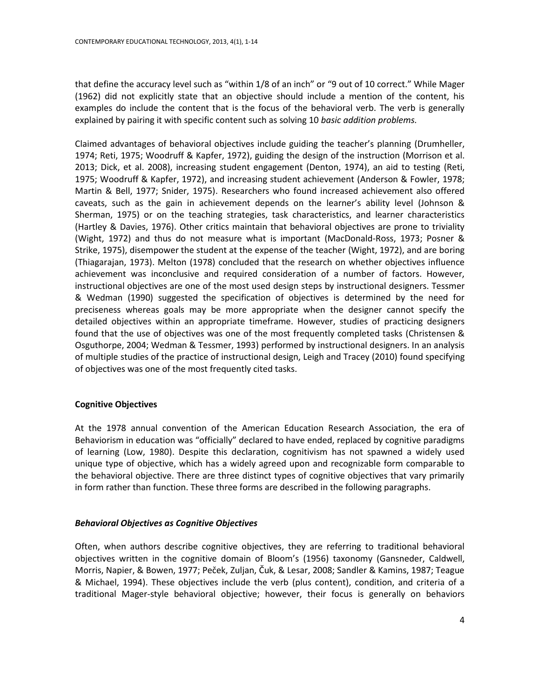that define the accuracy level such as "within 1/8 of an inch" or "9 out of 10 correct." While Mager (1962) did not explicitly state that an objective should include a mention of the content, his examples do include the content that is the focus of the behavioral verb. The verb is generally explained by pairing it with specific content such as solving 10 *basic addition problems.*

Claimed advantages of behavioral objectives include guiding the teacher's planning (Drumheller, 1974; Reti, 1975; Woodruff & Kapfer, 1972), guiding the design of the instruction (Morrison et al. 2013; Dick, et al. 2008), increasing student engagement (Denton, 1974), an aid to testing (Reti, 1975; Woodruff & Kapfer, 1972), and increasing student achievement (Anderson & Fowler, 1978; Martin & Bell, 1977; Snider, 1975). Researchers who found increased achievement also offered caveats, such as the gain in achievement depends on the learner's ability level (Johnson & Sherman, 1975) or on the teaching strategies, task characteristics, and learner characteristics (Hartley & Davies, 1976). Other critics maintain that behavioral objectives are prone to triviality (Wight, 1972) and thus do not measure what is important (MacDonald-Ross, 1973; Posner & Strike, 1975), disempower the student at the expense of the teacher (Wight, 1972), and are boring (Thiagarajan, 1973). Melton (1978) concluded that the research on whether objectives influence achievement was inconclusive and required consideration of a number of factors. However, instructional objectives are one of the most used design steps by instructional designers. Tessmer & Wedman (1990) suggested the specification of objectives is determined by the need for preciseness whereas goals may be more appropriate when the designer cannot specify the detailed objectives within an appropriate timeframe. However, studies of practicing designers found that the use of objectives was one of the most frequently completed tasks (Christensen & Osguthorpe, 2004; Wedman & Tessmer, 1993) performed by instructional designers. In an analysis of multiple studies of the practice of instructional design, Leigh and Tracey (2010) found specifying of objectives was one of the most frequently cited tasks.

# **Cognitive Objectives**

At the 1978 annual convention of the American Education Research Association, the era of Behaviorism in education was "officially" declared to have ended, replaced by cognitive paradigms of learning (Low, 1980). Despite this declaration, cognitivism has not spawned a widely used unique type of objective, which has a widely agreed upon and recognizable form comparable to the behavioral objective. There are three distinct types of cognitive objectives that vary primarily in form rather than function. These three forms are described in the following paragraphs.

# *Behavioral Objectives as Cognitive Objectives*

Often, when authors describe cognitive objectives, they are referring to traditional behavioral objectives written in the cognitive domain of Bloom's (1956) taxonomy (Gansneder, Caldwell, Morris, Napier, & Bowen, 1977; Peček, Zuljan, Čuk, & Lesar, 2008; Sandler & Kamins, 1987; Teague & Michael, 1994). These objectives include the verb (plus content), condition, and criteria of a traditional Mager-style behavioral objective; however, their focus is generally on behaviors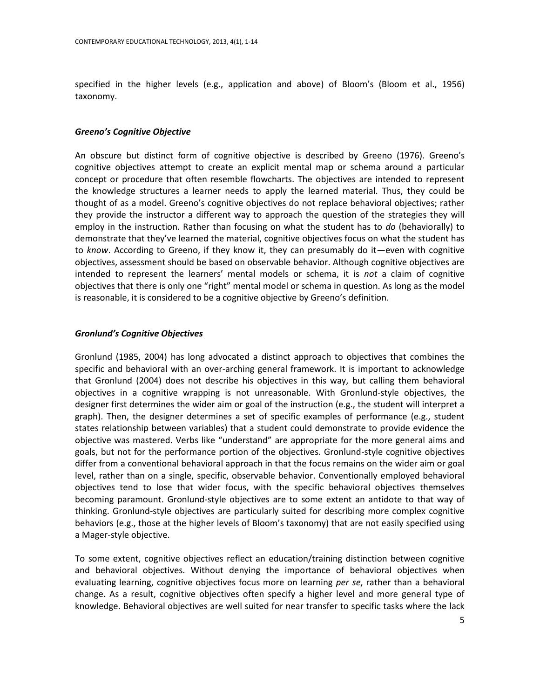specified in the higher levels (e.g., application and above) of Bloom's (Bloom et al., 1956) taxonomy.

## *Greeno's Cognitive Objective*

An obscure but distinct form of cognitive objective is described by Greeno (1976). Greeno's cognitive objectives attempt to create an explicit mental map or schema around a particular concept or procedure that often resemble flowcharts. The objectives are intended to represent the knowledge structures a learner needs to apply the learned material. Thus, they could be thought of as a model. Greeno's cognitive objectives do not replace behavioral objectives; rather they provide the instructor a different way to approach the question of the strategies they will employ in the instruction. Rather than focusing on what the student has to *do* (behaviorally) to demonstrate that they've learned the material, cognitive objectives focus on what the student has to *know*. According to Greeno, if they know it, they can presumably do it—even with cognitive objectives, assessment should be based on observable behavior. Although cognitive objectives are intended to represent the learners' mental models or schema, it is *not* a claim of cognitive objectives that there is only one "right" mental model or schema in question. As long as the model is reasonable, it is considered to be a cognitive objective by Greeno's definition.

## *Gronlund's Cognitive Objectives*

Gronlund (1985, 2004) has long advocated a distinct approach to objectives that combines the specific and behavioral with an over-arching general framework. It is important to acknowledge that Gronlund (2004) does not describe his objectives in this way, but calling them behavioral objectives in a cognitive wrapping is not unreasonable. With Gronlund-style objectives, the designer first determines the wider aim or goal of the instruction (e.g., the student will interpret a graph). Then, the designer determines a set of specific examples of performance (e.g., student states relationship between variables) that a student could demonstrate to provide evidence the objective was mastered. Verbs like "understand" are appropriate for the more general aims and goals, but not for the performance portion of the objectives. Gronlund-style cognitive objectives differ from a conventional behavioral approach in that the focus remains on the wider aim or goal level, rather than on a single, specific, observable behavior. Conventionally employed behavioral objectives tend to lose that wider focus, with the specific behavioral objectives themselves becoming paramount. Gronlund-style objectives are to some extent an antidote to that way of thinking. Gronlund-style objectives are particularly suited for describing more complex cognitive behaviors (e.g., those at the higher levels of Bloom's taxonomy) that are not easily specified using a Mager-style objective.

To some extent, cognitive objectives reflect an education/training distinction between cognitive and behavioral objectives. Without denying the importance of behavioral objectives when evaluating learning, cognitive objectives focus more on learning *per se*, rather than a behavioral change. As a result, cognitive objectives often specify a higher level and more general type of knowledge. Behavioral objectives are well suited for near transfer to specific tasks where the lack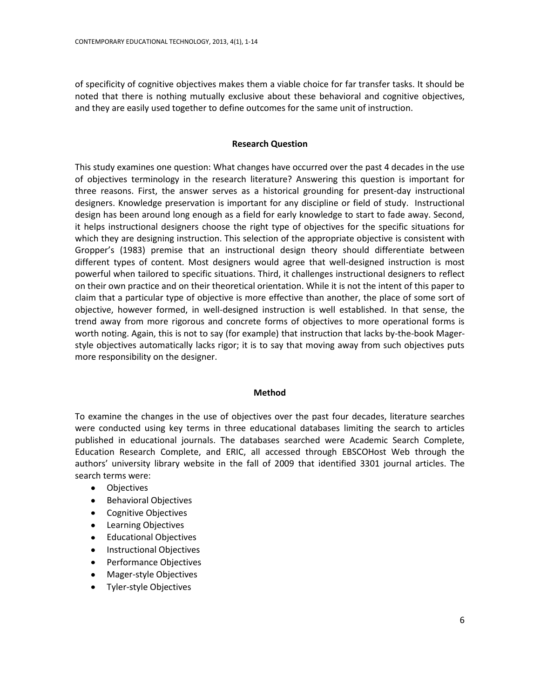of specificity of cognitive objectives makes them a viable choice for far transfer tasks. It should be noted that there is nothing mutually exclusive about these behavioral and cognitive objectives, and they are easily used together to define outcomes for the same unit of instruction.

## **Research Question**

This study examines one question: What changes have occurred over the past 4 decades in the use of objectives terminology in the research literature? Answering this question is important for three reasons. First, the answer serves as a historical grounding for present-day instructional designers. Knowledge preservation is important for any discipline or field of study. Instructional design has been around long enough as a field for early knowledge to start to fade away. Second, it helps instructional designers choose the right type of objectives for the specific situations for which they are designing instruction. This selection of the appropriate objective is consistent with Gropper's (1983) premise that an instructional design theory should differentiate between different types of content. Most designers would agree that well-designed instruction is most powerful when tailored to specific situations. Third, it challenges instructional designers to reflect on their own practice and on their theoretical orientation. While it is not the intent of this paper to claim that a particular type of objective is more effective than another, the place of some sort of objective, however formed, in well-designed instruction is well established. In that sense, the trend away from more rigorous and concrete forms of objectives to more operational forms is worth noting. Again, this is not to say (for example) that instruction that lacks by-the-book Magerstyle objectives automatically lacks rigor; it is to say that moving away from such objectives puts more responsibility on the designer.

## **Method**

To examine the changes in the use of objectives over the past four decades, literature searches were conducted using key terms in three educational databases limiting the search to articles published in educational journals. The databases searched were Academic Search Complete, Education Research Complete, and ERIC, all accessed through EBSCOHost Web through the authors' university library website in the fall of 2009 that identified 3301 journal articles. The search terms were:

- $\bullet$ **Objectives**
- Behavioral Objectives
- Cognitive Objectives
- Learning Objectives
- Educational Objectives
- Instructional Objectives
- Performance Objectives
- Mager-style Objectives
- Tyler-style Objectives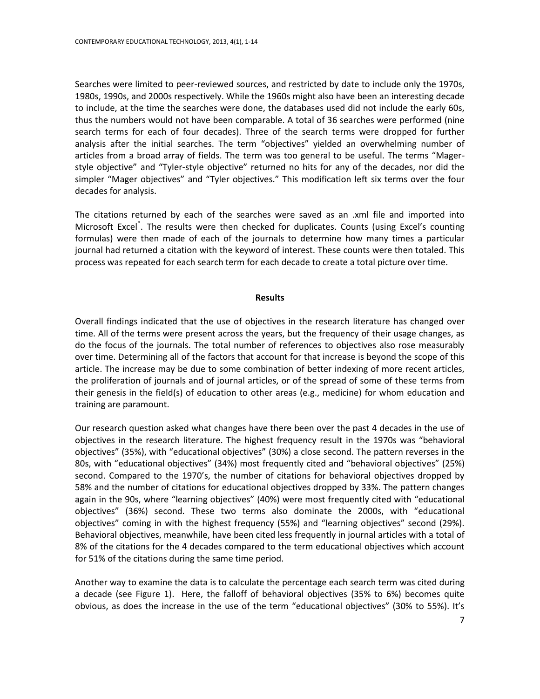Searches were limited to peer-reviewed sources, and restricted by date to include only the 1970s, 1980s, 1990s, and 2000s respectively. While the 1960s might also have been an interesting decade to include, at the time the searches were done, the databases used did not include the early 60s, thus the numbers would not have been comparable. A total of 36 searches were performed (nine search terms for each of four decades). Three of the search terms were dropped for further analysis after the initial searches. The term "objectives" yielded an overwhelming number of articles from a broad array of fields. The term was too general to be useful. The terms "Magerstyle objective" and "Tyler-style objective" returned no hits for any of the decades, nor did the simpler "Mager objectives" and "Tyler objectives." This modification left six terms over the four decades for analysis.

The citations returned by each of the searches were saved as an .xml file and imported into Microsoft Excel®. The results were then checked for duplicates. Counts (using Excel's counting formulas) were then made of each of the journals to determine how many times a particular journal had returned a citation with the keyword of interest. These counts were then totaled. This process was repeated for each search term for each decade to create a total picture over time.

#### **Results**

Overall findings indicated that the use of objectives in the research literature has changed over time. All of the terms were present across the years, but the frequency of their usage changes, as do the focus of the journals. The total number of references to objectives also rose measurably over time. Determining all of the factors that account for that increase is beyond the scope of this article. The increase may be due to some combination of better indexing of more recent articles, the proliferation of journals and of journal articles, or of the spread of some of these terms from their genesis in the field(s) of education to other areas (e.g., medicine) for whom education and training are paramount.

Our research question asked what changes have there been over the past 4 decades in the use of objectives in the research literature. The highest frequency result in the 1970s was "behavioral objectives" (35%), with "educational objectives" (30%) a close second. The pattern reverses in the 80s, with "educational objectives" (34%) most frequently cited and "behavioral objectives" (25%) second. Compared to the 1970's, the number of citations for behavioral objectives dropped by 58% and the number of citations for educational objectives dropped by 33%. The pattern changes again in the 90s, where "learning objectives" (40%) were most frequently cited with "educational objectives" (36%) second. These two terms also dominate the 2000s, with "educational objectives" coming in with the highest frequency (55%) and "learning objectives" second (29%). Behavioral objectives, meanwhile, have been cited less frequently in journal articles with a total of 8% of the citations for the 4 decades compared to the term educational objectives which account for 51% of the citations during the same time period.

Another way to examine the data is to calculate the percentage each search term was cited during a decade (see Figure 1). Here, the falloff of behavioral objectives (35% to 6%) becomes quite obvious, as does the increase in the use of the term "educational objectives" (30% to 55%). It's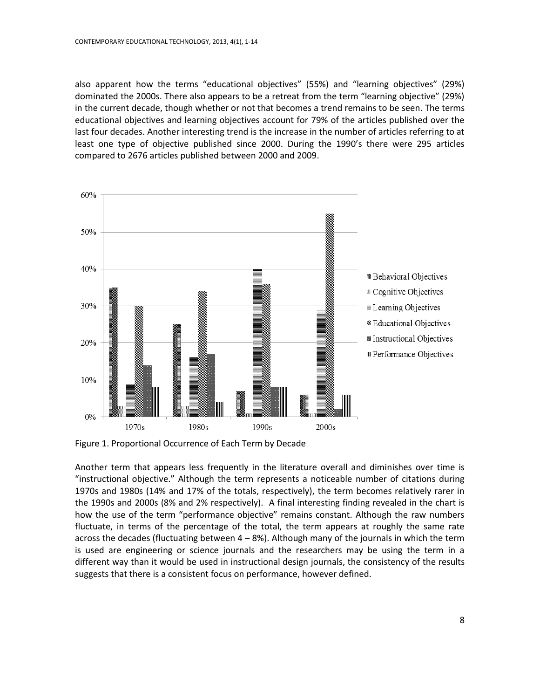also apparent how the terms "educational objectives" (55%) and "learning objectives" (29%) dominated the 2000s. There also appears to be a retreat from the term "learning objective" (29%) in the current decade, though whether or not that becomes a trend remains to be seen. The terms educational objectives and learning objectives account for 79% of the articles published over the last four decades. Another interesting trend is the increase in the number of articles referring to at least one type of objective published since 2000. During the 1990's there were 295 articles compared to 2676 articles published between 2000 and 2009.



Figure 1. Proportional Occurrence of Each Term by Decade

Another term that appears less frequently in the literature overall and diminishes over time is "instructional objective." Although the term represents a noticeable number of citations during 1970s and 1980s (14% and 17% of the totals, respectively), the term becomes relatively rarer in the 1990s and 2000s (8% and 2% respectively). A final interesting finding revealed in the chart is how the use of the term "performance objective" remains constant. Although the raw numbers fluctuate, in terms of the percentage of the total, the term appears at roughly the same rate across the decades (fluctuating between  $4 - 8%$ ). Although many of the journals in which the term is used are engineering or science journals and the researchers may be using the term in a different way than it would be used in instructional design journals, the consistency of the results suggests that there is a consistent focus on performance, however defined.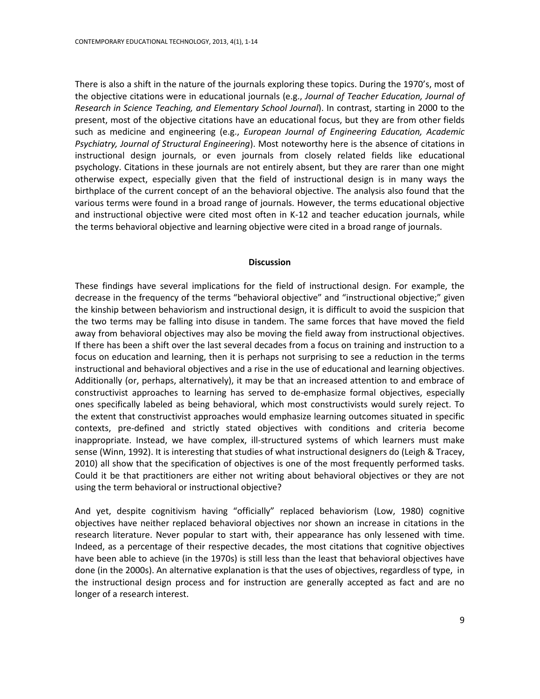There is also a shift in the nature of the journals exploring these topics. During the 1970's, most of the objective citations were in educational journals (e.g., *Journal of Teacher Education, Journal of Research in Science Teaching, and Elementary School Journal*). In contrast, starting in 2000 to the present, most of the objective citations have an educational focus, but they are from other fields such as medicine and engineering (e.g., *European Journal of Engineering Education, Academic Psychiatry, Journal of Structural Engineering*). Most noteworthy here is the absence of citations in instructional design journals, or even journals from closely related fields like educational psychology. Citations in these journals are not entirely absent, but they are rarer than one might otherwise expect, especially given that the field of instructional design is in many ways the birthplace of the current concept of an the behavioral objective. The analysis also found that the various terms were found in a broad range of journals. However, the terms educational objective and instructional objective were cited most often in K-12 and teacher education journals, while the terms behavioral objective and learning objective were cited in a broad range of journals.

#### **Discussion**

These findings have several implications for the field of instructional design. For example, the decrease in the frequency of the terms "behavioral objective" and "instructional objective;" given the kinship between behaviorism and instructional design, it is difficult to avoid the suspicion that the two terms may be falling into disuse in tandem. The same forces that have moved the field away from behavioral objectives may also be moving the field away from instructional objectives. If there has been a shift over the last several decades from a focus on training and instruction to a focus on education and learning, then it is perhaps not surprising to see a reduction in the terms instructional and behavioral objectives and a rise in the use of educational and learning objectives. Additionally (or, perhaps, alternatively), it may be that an increased attention to and embrace of constructivist approaches to learning has served to de-emphasize formal objectives, especially ones specifically labeled as being behavioral, which most constructivists would surely reject. To the extent that constructivist approaches would emphasize learning outcomes situated in specific contexts, pre-defined and strictly stated objectives with conditions and criteria become inappropriate. Instead, we have complex, ill-structured systems of which learners must make sense (Winn, 1992). It is interesting that studies of what instructional designers do (Leigh & Tracey, 2010) all show that the specification of objectives is one of the most frequently performed tasks. Could it be that practitioners are either not writing about behavioral objectives or they are not using the term behavioral or instructional objective?

And yet, despite cognitivism having "officially" replaced behaviorism (Low, 1980) cognitive objectives have neither replaced behavioral objectives nor shown an increase in citations in the research literature. Never popular to start with, their appearance has only lessened with time. Indeed, as a percentage of their respective decades, the most citations that cognitive objectives have been able to achieve (in the 1970s) is still less than the least that behavioral objectives have done (in the 2000s). An alternative explanation is that the uses of objectives, regardless of type, in the instructional design process and for instruction are generally accepted as fact and are no longer of a research interest.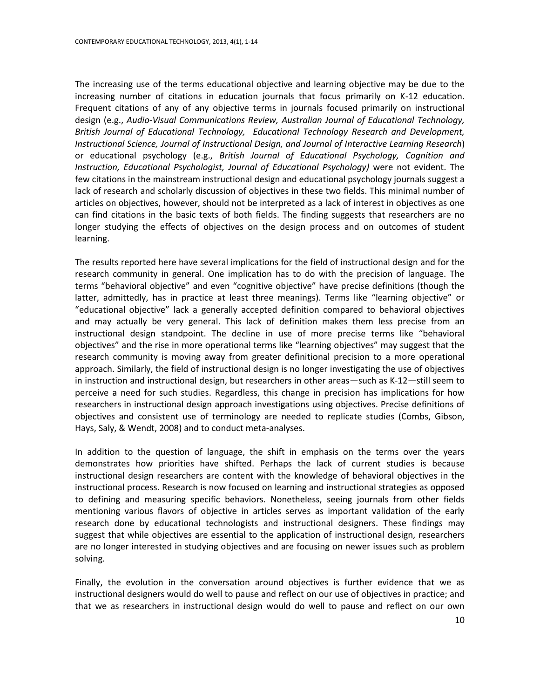The increasing use of the terms educational objective and learning objective may be due to the increasing number of citations in education journals that focus primarily on K-12 education. Frequent citations of any of any objective terms in journals focused primarily on instructional design (e.g., *Audio-Visual Communications Review, Australian Journal of Educational Technology, British Journal of Educational Technology, Educational Technology Research and Development, Instructional Science, Journal of Instructional Design, and Journal of Interactive Learning Research*) or educational psychology (e.g., *British Journal of Educational Psychology, Cognition and Instruction, Educational Psychologist, Journal of Educational Psychology)* were not evident. The few citations in the mainstream instructional design and educational psychology journals suggest a lack of research and scholarly discussion of objectives in these two fields. This minimal number of articles on objectives, however, should not be interpreted as a lack of interest in objectives as one can find citations in the basic texts of both fields. The finding suggests that researchers are no longer studying the effects of objectives on the design process and on outcomes of student learning.

The results reported here have several implications for the field of instructional design and for the research community in general. One implication has to do with the precision of language. The terms "behavioral objective" and even "cognitive objective" have precise definitions (though the latter, admittedly, has in practice at least three meanings). Terms like "learning objective" or "educational objective" lack a generally accepted definition compared to behavioral objectives and may actually be very general. This lack of definition makes them less precise from an instructional design standpoint. The decline in use of more precise terms like "behavioral objectives" and the rise in more operational terms like "learning objectives" may suggest that the research community is moving away from greater definitional precision to a more operational approach. Similarly, the field of instructional design is no longer investigating the use of objectives in instruction and instructional design, but researchers in other areas—such as K-12—still seem to perceive a need for such studies. Regardless, this change in precision has implications for how researchers in instructional design approach investigations using objectives. Precise definitions of objectives and consistent use of terminology are needed to replicate studies (Combs, Gibson, Hays, Saly, & Wendt, 2008) and to conduct meta-analyses.

In addition to the question of language, the shift in emphasis on the terms over the years demonstrates how priorities have shifted. Perhaps the lack of current studies is because instructional design researchers are content with the knowledge of behavioral objectives in the instructional process. Research is now focused on learning and instructional strategies as opposed to defining and measuring specific behaviors. Nonetheless, seeing journals from other fields mentioning various flavors of objective in articles serves as important validation of the early research done by educational technologists and instructional designers. These findings may suggest that while objectives are essential to the application of instructional design, researchers are no longer interested in studying objectives and are focusing on newer issues such as problem solving.

Finally, the evolution in the conversation around objectives is further evidence that we as instructional designers would do well to pause and reflect on our use of objectives in practice; and that we as researchers in instructional design would do well to pause and reflect on our own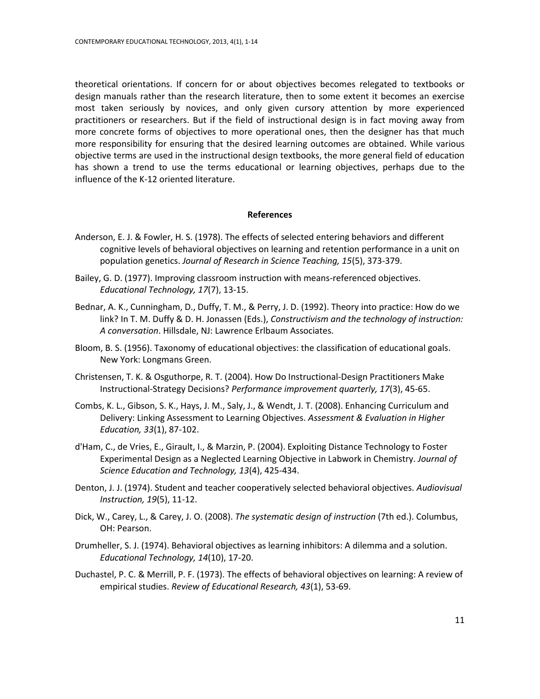theoretical orientations. If concern for or about objectives becomes relegated to textbooks or design manuals rather than the research literature, then to some extent it becomes an exercise most taken seriously by novices, and only given cursory attention by more experienced practitioners or researchers. But if the field of instructional design is in fact moving away from more concrete forms of objectives to more operational ones, then the designer has that much more responsibility for ensuring that the desired learning outcomes are obtained. While various objective terms are used in the instructional design textbooks, the more general field of education has shown a trend to use the terms educational or learning objectives, perhaps due to the influence of the K-12 oriented literature.

## **References**

- Anderson, E. J. & Fowler, H. S. (1978). The effects of selected entering behaviors and different cognitive levels of behavioral objectives on learning and retention performance in a unit on population genetics. *Journal of Research in Science Teaching, 15*(5), 373-379.
- Bailey, G. D. (1977). Improving classroom instruction with means-referenced objectives. *Educational Technology, 17*(7), 13-15.
- Bednar, A. K., Cunningham, D., Duffy, T. M., & Perry, J. D. (1992). Theory into practice: How do we link? In T. M. Duffy & D. H. Jonassen (Eds.), *Constructivism and the technology of instruction: A conversation*. Hillsdale, NJ: Lawrence Erlbaum Associates.
- Bloom, B. S. (1956). Taxonomy of educational objectives: the classification of educational goals. New York: Longmans Green.
- Christensen, T. K. & Osguthorpe, R. T. (2004). How Do Instructional-Design Practitioners Make Instructional-Strategy Decisions? *Performance improvement quarterly, 17*(3), 45-65.
- Combs, K. L., Gibson, S. K., Hays, J. M., Saly, J., & Wendt, J. T. (2008). Enhancing Curriculum and Delivery: Linking Assessment to Learning Objectives. *Assessment & Evaluation in Higher Education, 33*(1), 87-102.
- d'Ham, C., de Vries, E., Girault, I., & Marzin, P. (2004). Exploiting Distance Technology to Foster Experimental Design as a Neglected Learning Objective in Labwork in Chemistry. *Journal of Science Education and Technology, 13*(4), 425-434.
- Denton, J. J. (1974). Student and teacher cooperatively selected behavioral objectives. *Audiovisual Instruction, 19*(5), 11-12.
- Dick, W., Carey, L., & Carey, J. O. (2008). *The systematic design of instruction* (7th ed.). Columbus, OH: Pearson.
- Drumheller, S. J. (1974). Behavioral objectives as learning inhibitors: A dilemma and a solution. *Educational Technology, 14*(10), 17-20.
- Duchastel, P. C. & Merrill, P. F. (1973). The effects of behavioral objectives on learning: A review of empirical studies. *Review of Educational Research, 43*(1), 53-69.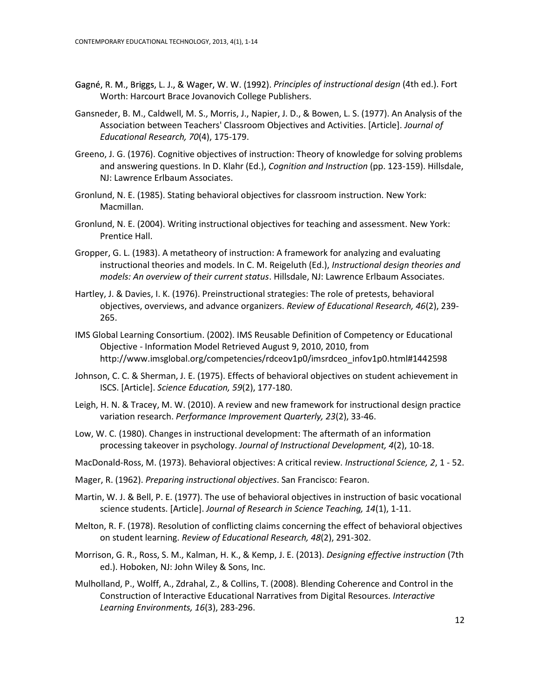- Gagné, R. M., Briggs, L. J., & Wager, W. W. (1992). Principles of instructional design (4th ed.). Fort Worth: Harcourt Brace Jovanovich College Publishers.
- Gansneder, B. M., Caldwell, M. S., Morris, J., Napier, J. D., & Bowen, L. S. (1977). An Analysis of the Association between Teachers' Classroom Objectives and Activities. [Article]. *Journal of Educational Research, 70*(4), 175-179.
- Greeno, J. G. (1976). Cognitive objectives of instruction: Theory of knowledge for solving problems and answering questions. In D. Klahr (Ed.), *Cognition and Instruction* (pp. 123-159). Hillsdale, NJ: Lawrence Erlbaum Associates.
- Gronlund, N. E. (1985). Stating behavioral objectives for classroom instruction. New York: Macmillan.
- Gronlund, N. E. (2004). Writing instructional objectives for teaching and assessment. New York: Prentice Hall.
- Gropper, G. L. (1983). A metatheory of instruction: A framework for analyzing and evaluating instructional theories and models. In C. M. Reigeluth (Ed.), *Instructional design theories and models: An overview of their current status*. Hillsdale, NJ: Lawrence Erlbaum Associates.
- Hartley, J. & Davies, I. K. (1976). Preinstructional strategies: The role of pretests, behavioral objectives, overviews, and advance organizers. *Review of Educational Research, 46*(2), 239- 265.
- IMS Global Learning Consortium. (2002). IMS Reusable Definition of Competency or Educational Objective - Information Model Retrieved August 9, 2010, 2010, from http://www.imsglobal.org/competencies/rdceov1p0/imsrdceo\_infov1p0.html#1442598
- Johnson, C. C. & Sherman, J. E. (1975). Effects of behavioral objectives on student achievement in ISCS. [Article]. *Science Education, 59*(2), 177-180.
- Leigh, H. N. & Tracey, M. W. (2010). A review and new framework for instructional design practice variation research. *Performance Improvement Quarterly, 23*(2), 33-46.
- Low, W. C. (1980). Changes in instructional development: The aftermath of an information processing takeover in psychology. *Journal of Instructional Development, 4*(2), 10-18.
- MacDonald-Ross, M. (1973). Behavioral objectives: A critical review. *Instructional Science, 2*, 1 52.
- Mager, R. (1962). *Preparing instructional objectives*. San Francisco: Fearon.
- Martin, W. J. & Bell, P. E. (1977). The use of behavioral objectives in instruction of basic vocational science students. [Article]. *Journal of Research in Science Teaching, 14*(1), 1-11.
- Melton, R. F. (1978). Resolution of conflicting claims concerning the effect of behavioral objectives on student learning. *Review of Educational Research, 48*(2), 291-302.
- Morrison, G. R., Ross, S. M., Kalman, H. K., & Kemp, J. E. (2013). *Designing effective instruction* (7th ed.). Hoboken, NJ: John Wiley & Sons, Inc.
- Mulholland, P., Wolff, A., Zdrahal, Z., & Collins, T. (2008). Blending Coherence and Control in the Construction of Interactive Educational Narratives from Digital Resources. *Interactive Learning Environments, 16*(3), 283-296.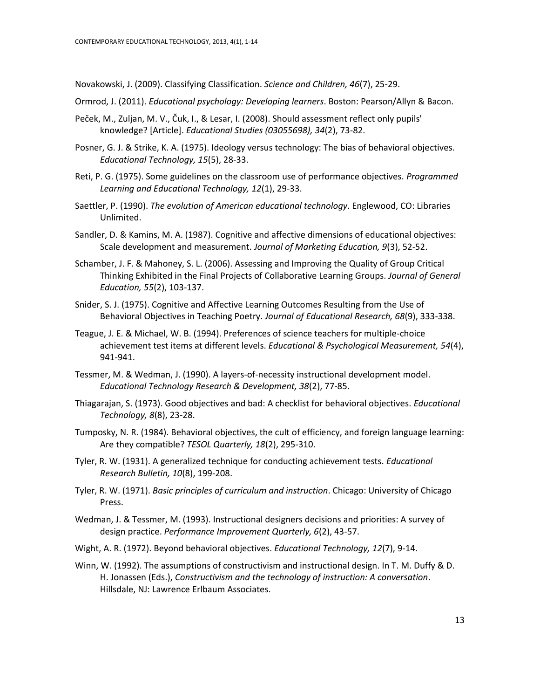Novakowski, J. (2009). Classifying Classification. *Science and Children, 46*(7), 25-29.

- Ormrod, J. (2011). *Educational psychology: Developing learners*. Boston: Pearson/Allyn & Bacon.
- Peček, M., Zuljan, M. V., Čuk, I., & Lesar, I. (2008). Should assessment reflect only pupils' knowledge? [Article]. *Educational Studies (03055698), 34*(2), 73-82.
- Posner, G. J. & Strike, K. A. (1975). Ideology versus technology: The bias of behavioral objectives. *Educational Technology, 15*(5), 28-33.
- Reti, P. G. (1975). Some guidelines on the classroom use of performance objectives. *Programmed Learning and Educational Technology, 12*(1), 29-33.
- Saettler, P. (1990). *The evolution of American educational technology*. Englewood, CO: Libraries Unlimited.
- Sandler, D. & Kamins, M. A. (1987). Cognitive and affective dimensions of educational objectives: Scale development and measurement. *Journal of Marketing Education, 9*(3), 52-52.
- Schamber, J. F. & Mahoney, S. L. (2006). Assessing and Improving the Quality of Group Critical Thinking Exhibited in the Final Projects of Collaborative Learning Groups. *Journal of General Education, 55*(2), 103-137.
- Snider, S. J. (1975). Cognitive and Affective Learning Outcomes Resulting from the Use of Behavioral Objectives in Teaching Poetry. *Journal of Educational Research, 68*(9), 333-338.
- Teague, J. E. & Michael, W. B. (1994). Preferences of science teachers for multiple-choice achievement test items at different levels. *Educational & Psychological Measurement, 54*(4), 941-941.
- Tessmer, M. & Wedman, J. (1990). A layers-of-necessity instructional development model. *Educational Technology Research & Development, 38*(2), 77-85.
- Thiagarajan, S. (1973). Good objectives and bad: A checklist for behavioral objectives. *Educational Technology, 8*(8), 23-28.
- Tumposky, N. R. (1984). Behavioral objectives, the cult of efficiency, and foreign language learning: Are they compatible? *TESOL Quarterly, 18*(2), 295-310.
- Tyler, R. W. (1931). A generalized technique for conducting achievement tests. *Educational Research Bulletin, 10*(8), 199-208.
- Tyler, R. W. (1971). *Basic principles of curriculum and instruction*. Chicago: University of Chicago Press.
- Wedman, J. & Tessmer, M. (1993). Instructional designers decisions and priorities: A survey of design practice. *Performance Improvement Quarterly, 6*(2), 43-57.
- Wight, A. R. (1972). Beyond behavioral objectives. *Educational Technology, 12*(7), 9-14.
- Winn, W. (1992). The assumptions of constructivism and instructional design. In T. M. Duffy & D. H. Jonassen (Eds.), *Constructivism and the technology of instruction: A conversation*. Hillsdale, NJ: Lawrence Erlbaum Associates.